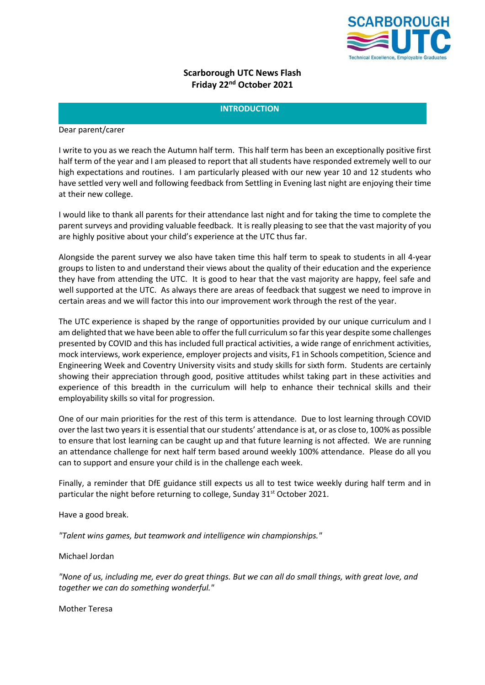

# **Scarborough UTC News Flash Friday 22nd October 2021**

#### **INTRODUCTION**

Dear parent/carer

I write to you as we reach the Autumn half term. This half term has been an exceptionally positive first half term of the year and I am pleased to report that all students have responded extremely well to our high expectations and routines. I am particularly pleased with our new year 10 and 12 students who have settled very well and following feedback from Settling in Evening last night are enjoying their time at their new college.

I would like to thank all parents for their attendance last night and for taking the time to complete the parent surveys and providing valuable feedback. It is really pleasing to see that the vast majority of you are highly positive about your child's experience at the UTC thus far.

Alongside the parent survey we also have taken time this half term to speak to students in all 4-year groups to listen to and understand their views about the quality of their education and the experience they have from attending the UTC. It is good to hear that the vast majority are happy, feel safe and well supported at the UTC. As always there are areas of feedback that suggest we need to improve in certain areas and we will factor this into our improvement work through the rest of the year.

The UTC experience is shaped by the range of opportunities provided by our unique curriculum and I am delighted that we have been able to offer the full curriculum so far this year despite some challenges presented by COVID and this has included full practical activities, a wide range of enrichment activities, mock interviews, work experience, employer projects and visits, F1 in Schools competition, Science and Engineering Week and Coventry University visits and study skills for sixth form. Students are certainly showing their appreciation through good, positive attitudes whilst taking part in these activities and experience of this breadth in the curriculum will help to enhance their technical skills and their employability skills so vital for progression.

One of our main priorities for the rest of this term is attendance. Due to lost learning through COVID over the last two years it is essential that our students' attendance is at, or as close to, 100% as possible to ensure that lost learning can be caught up and that future learning is not affected. We are running an attendance challenge for next half term based around weekly 100% attendance. Please do all you can to support and ensure your child is in the challenge each week.

Finally, a reminder that DfE guidance still expects us all to test twice weekly during half term and in particular the night before returning to college, Sunday 31<sup>st</sup> October 2021.

Have a good break.

*"Talent wins games, but teamwork and intelligence win championships."*

Michael Jordan

*"None of us, including me, ever do great things. But we can all do small things, with great love, and together we can do something wonderful."*

Mother Teresa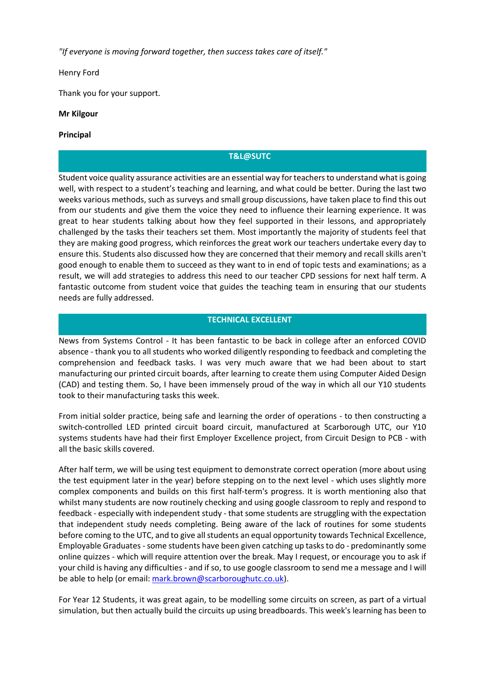*"If everyone is moving forward together, then success takes care of itself."*

Henry Ford

Thank you for your support.

## **Mr Kilgour**

### **Principal**

# **T&L@SUTC**

Student voice quality assurance activities are an essential way for teachers to understand what is going well, with respect to a student's teaching and learning, and what could be better. During the last two weeks various methods, such as surveys and small group discussions, have taken place to find this out from our students and give them the voice they need to influence their learning experience. It was great to hear students talking about how they feel supported in their lessons, and appropriately challenged by the tasks their teachers set them. Most importantly the majority of students feel that they are making good progress, which reinforces the great work our teachers undertake every day to ensure this. Students also discussed how they are concerned that their memory and recall skills aren't good enough to enable them to succeed as they want to in end of topic tests and examinations; as a result, we will add strategies to address this need to our teacher CPD sessions for next half term. A fantastic outcome from student voice that guides the teaching team in ensuring that our students needs are fully addressed.

#### **TECHNICAL EXCELLENT**

News from Systems Control - It has been fantastic to be back in college after an enforced COVID absence - thank you to all students who worked diligently responding to feedback and completing the comprehension and feedback tasks. I was very much aware that we had been about to start manufacturing our printed circuit boards, after learning to create them using Computer Aided Design (CAD) and testing them. So, I have been immensely proud of the way in which all our Y10 students took to their manufacturing tasks this week.

From initial solder practice, being safe and learning the order of operations - to then constructing a switch-controlled LED printed circuit board circuit, manufactured at Scarborough UTC, our Y10 systems students have had their first Employer Excellence project, from Circuit Design to PCB - with all the basic skills covered.

After half term, we will be using test equipment to demonstrate correct operation (more about using the test equipment later in the year) before stepping on to the next level - which uses slightly more complex components and builds on this first half-term's progress. It is worth mentioning also that whilst many students are now routinely checking and using google classroom to reply and respond to feedback - especially with independent study - that some students are struggling with the expectation that independent study needs completing. Being aware of the lack of routines for some students before coming to the UTC, and to give all students an equal opportunity towards Technical Excellence, Employable Graduates - some students have been given catching up tasks to do - predominantly some online quizzes - which will require attention over the break. May I request, or encourage you to ask if your child is having any difficulties - and if so, to use google classroom to send me a message and I will be able to help (or email[: mark.brown@scarboroughutc.co.uk\)](mailto:mark.brown@scarboroughutc.co.uk).

For Year 12 Students, it was great again, to be modelling some circuits on screen, as part of a virtual simulation, but then actually build the circuits up using breadboards. This week's learning has been to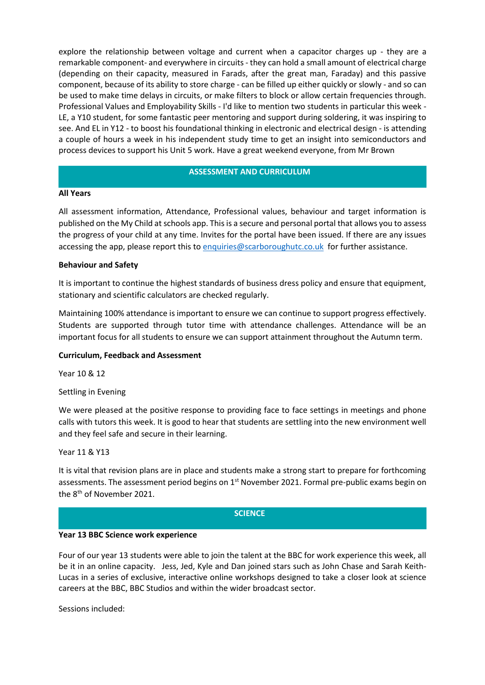explore the relationship between voltage and current when a capacitor charges up - they are a remarkable component- and everywhere in circuits - they can hold a small amount of electrical charge (depending on their capacity, measured in Farads, after the great man, Faraday) and this passive component, because of its ability to store charge - can be filled up either quickly or slowly - and so can be used to make time delays in circuits, or make filters to block or allow certain frequencies through. Professional Values and Employability Skills - I'd like to mention two students in particular this week - LE, a Y10 student, for some fantastic peer mentoring and support during soldering, it was inspiring to see. And EL in Y12 - to boost his foundational thinking in electronic and electrical design - is attending a couple of hours a week in his independent study time to get an insight into semiconductors and process devices to support his Unit 5 work. Have a great weekend everyone, from Mr Brown

### **ASSESSMENT AND CURRICULUM**

## **All Years**

All assessment information, Attendance, Professional values, behaviour and target information is published on the My Child at schools app. This is a secure and personal portal that allows you to assess the progress of your child at any time. Invites for the portal have been issued. If there are any issues accessing the app, please report this to [enquiries@scarboroughutc.co.uk](mailto:enquiries@scarboroughutc.co.uk) for further assistance.

## **Behaviour and Safety**

It is important to continue the highest standards of business dress policy and ensure that equipment, stationary and scientific calculators are checked regularly.

Maintaining 100% attendance is important to ensure we can continue to support progress effectively. Students are supported through tutor time with attendance challenges. Attendance will be an important focus for all students to ensure we can support attainment throughout the Autumn term.

#### **Curriculum, Feedback and Assessment**

Year 10 & 12

Settling in Evening

We were pleased at the positive response to providing face to face settings in meetings and phone calls with tutors this week. It is good to hear that students are settling into the new environment well and they feel safe and secure in their learning.

Year 11 & Y13

It is vital that revision plans are in place and students make a strong start to prepare for forthcoming assessments. The assessment period begins on 1<sup>st</sup> November 2021. Formal pre-public exams begin on the 8<sup>th</sup> of November 2021.

#### **SCIENCE**

#### **Year 13 BBC Science work experience**

Four of our year 13 students were able to join the talent at the BBC for work experience this week, all be it in an online capacity. Jess, Jed, Kyle and Dan joined stars such as John Chase and Sarah Keith-Lucas in a series of exclusive, interactive online workshops designed to take a closer look at science careers at the BBC, BBC Studios and within the wider broadcast sector.

Sessions included: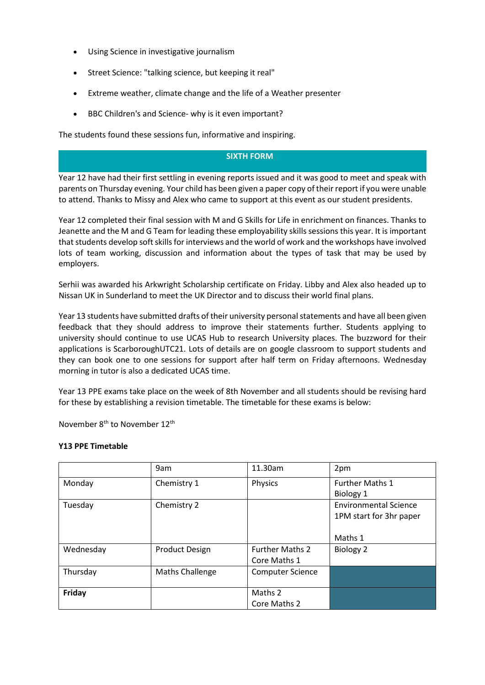- Using Science in investigative journalism
- Street Science: "talking science, but keeping it real"
- Extreme weather, climate change and the life of a Weather presenter
- BBC Children's and Science- why is it even important?

The students found these sessions fun, informative and inspiring.

## **SIXTH FORM**

Year 12 have had their first settling in evening reports issued and it was good to meet and speak with parents on Thursday evening. Your child has been given a paper copy of their report if you were unable to attend. Thanks to Missy and Alex who came to support at this event as our student presidents.

Year 12 completed their final session with M and G Skills for Life in enrichment on finances. Thanks to Jeanette and the M and G Team for leading these employability skills sessions this year. It is important that students develop soft skills for interviews and the world of work and the workshops have involved lots of team working, discussion and information about the types of task that may be used by employers.

Serhii was awarded his Arkwright Scholarship certificate on Friday. Libby and Alex also headed up to Nissan UK in Sunderland to meet the UK Director and to discuss their world final plans.

Year 13 students have submitted drafts of their university personal statements and have all been given feedback that they should address to improve their statements further. Students applying to university should continue to use UCAS Hub to research University places. The buzzword for their applications is ScarboroughUTC21. Lots of details are on google classroom to support students and they can book one to one sessions for support after half term on Friday afternoons. Wednesday morning in tutor is also a dedicated UCAS time.

Year 13 PPE exams take place on the week of 8th November and all students should be revising hard for these by establishing a revision timetable. The timetable for these exams is below:

November 8th to November 12th

#### **Y13 PPE Timetable**

|           | 9am                    | 11.30am                 | 2pm                          |
|-----------|------------------------|-------------------------|------------------------------|
| Monday    | Chemistry 1            | Physics                 | <b>Further Maths 1</b>       |
|           |                        |                         | Biology 1                    |
| Tuesday   | Chemistry 2            |                         | <b>Environmental Science</b> |
|           |                        |                         | 1PM start for 3hr paper      |
|           |                        |                         |                              |
|           |                        |                         | Maths 1                      |
| Wednesday | <b>Product Design</b>  | <b>Further Maths 2</b>  | Biology 2                    |
|           |                        | Core Maths 1            |                              |
| Thursday  | <b>Maths Challenge</b> | <b>Computer Science</b> |                              |
|           |                        |                         |                              |
| Friday    |                        | Maths 2                 |                              |
|           |                        | Core Maths 2            |                              |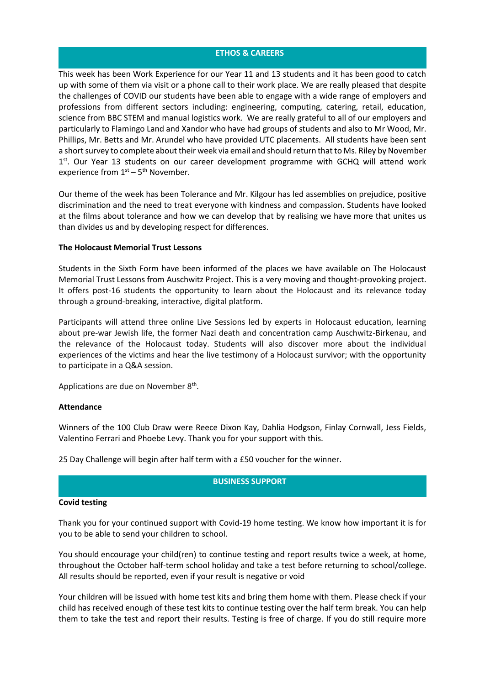### **ETHOS & CAREERS**

This week has been Work Experience for our Year 11 and 13 students and it has been good to catch up with some of them via visit or a phone call to their work place. We are really pleased that despite the challenges of COVID our students have been able to engage with a wide range of employers and professions from different sectors including: engineering, computing, catering, retail, education, science from BBC STEM and manual logistics work. We are really grateful to all of our employers and particularly to Flamingo Land and Xandor who have had groups of students and also to Mr Wood, Mr. Phillips, Mr. Betts and Mr. Arundel who have provided UTC placements. All students have been sent a short survey to complete about their week via email and should return that to Ms. Riley by November 1<sup>st</sup>. Our Year 13 students on our career development programme with GCHQ will attend work experience from  $1<sup>st</sup> - 5<sup>th</sup>$  November.

Our theme of the week has been Tolerance and Mr. Kilgour has led assemblies on prejudice, positive discrimination and the need to treat everyone with kindness and compassion. Students have looked at the films about tolerance and how we can develop that by realising we have more that unites us than divides us and by developing respect for differences.

#### **The Holocaust Memorial Trust Lessons**

Students in the Sixth Form have been informed of the places we have available on The Holocaust Memorial Trust Lessons from Auschwitz Project. This is a very moving and thought-provoking project. It offers post-16 students the opportunity to learn about the Holocaust and its relevance today through a ground-breaking, interactive, digital platform.

Participants will attend three online Live Sessions led by experts in Holocaust education, learning about pre-war Jewish life, the former Nazi death and concentration camp Auschwitz-Birkenau, and the relevance of the Holocaust today. Students will also discover more about the individual experiences of the victims and hear the live testimony of a Holocaust survivor; with the opportunity to participate in a Q&A session.

Applications are due on November 8<sup>th</sup>.

#### **Attendance**

Winners of the 100 Club Draw were Reece Dixon Kay, Dahlia Hodgson, Finlay Cornwall, Jess Fields, Valentino Ferrari and Phoebe Levy. Thank you for your support with this.

25 Day Challenge will begin after half term with a £50 voucher for the winner.

#### **BUSINESS SUPPORT**

#### **Covid testing**

Thank you for your continued support with Covid-19 home testing. We know how important it is for you to be able to send your children to school.

You should encourage your child(ren) to continue testing and report results twice a week, at home, throughout the October half-term school holiday and take a test before returning to school/college. All results should be reported, even if your result is negative or void

Your children will be issued with home test kits and bring them home with them. Please check if your child has received enough of these test kits to continue testing over the half term break. You can help them to take the test and report their results. Testing is free of charge. If you do still require more